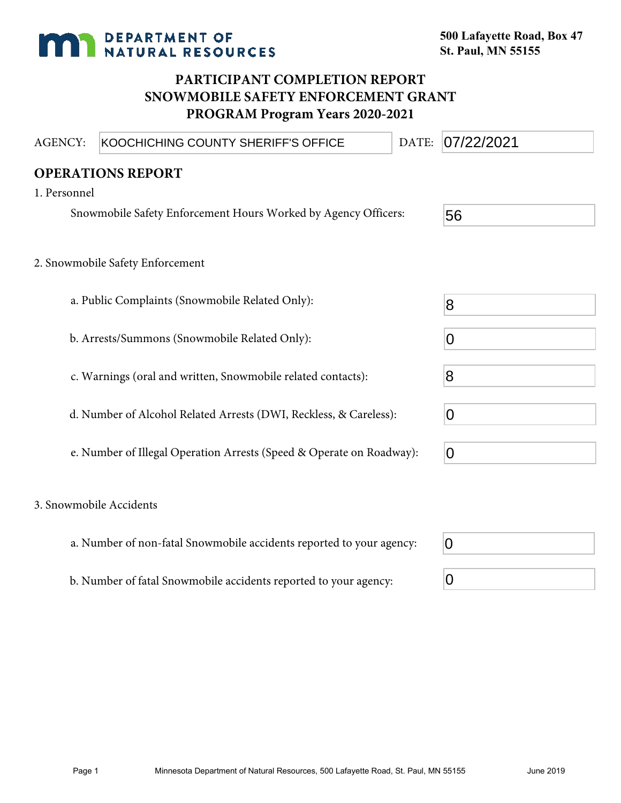# **DEPARTMENT OF NATURAL RESOURCES**

## **PARTICIPANT COMPLETION REPORT SNOWMOBILE SAFETY ENFORCEMENT GRANT PROGRAM Program Years 2020-2021**

| <b>AGENCY:</b>          | KOOCHICHING COUNTY SHERIFF'S OFFICE                                  | DATE: | 07/22/2021     |  |
|-------------------------|----------------------------------------------------------------------|-------|----------------|--|
|                         | <b>OPERATIONS REPORT</b>                                             |       |                |  |
| 1. Personnel            |                                                                      |       |                |  |
|                         | Snowmobile Safety Enforcement Hours Worked by Agency Officers:       |       | 56             |  |
|                         |                                                                      |       |                |  |
|                         | 2. Snowmobile Safety Enforcement                                     |       |                |  |
|                         | a. Public Complaints (Snowmobile Related Only):                      |       |                |  |
|                         |                                                                      |       | $\overline{8}$ |  |
|                         | b. Arrests/Summons (Snowmobile Related Only):                        |       | $\overline{0}$ |  |
|                         | c. Warnings (oral and written, Snowmobile related contacts):         |       | 8              |  |
|                         | d. Number of Alcohol Related Arrests (DWI, Reckless, & Careless):    |       | $\overline{0}$ |  |
|                         | e. Number of Illegal Operation Arrests (Speed & Operate on Roadway): |       | 0              |  |
| 3. Snowmobile Accidents |                                                                      |       |                |  |
|                         | a. Number of non-fatal Snowmobile accidents reported to your agency: |       | $\overline{0}$ |  |
|                         | b. Number of fatal Snowmobile accidents reported to your agency:     |       | 0              |  |

b. Number of fatal Snowmobile accidents reported to your agency: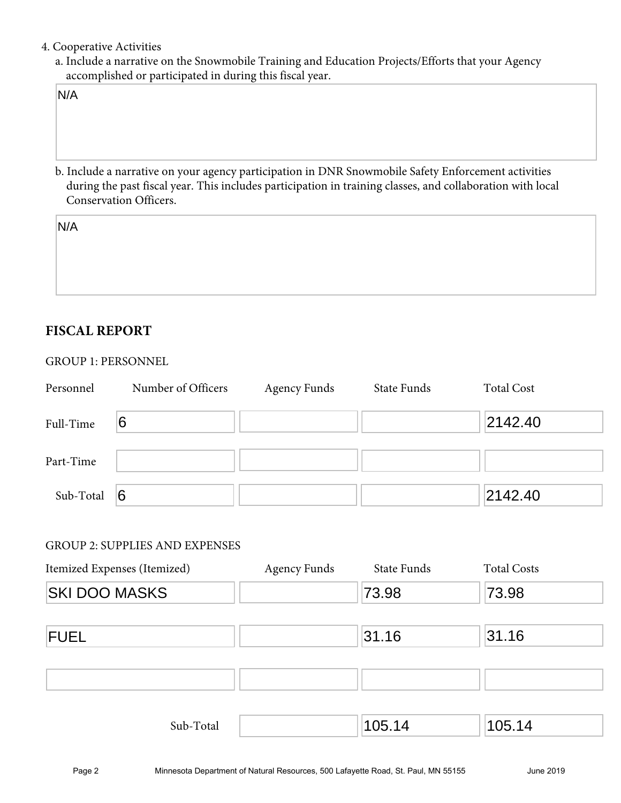## 4. Cooperative Activities

a. Include a narrative on the Snowmobile Training and Education Projects/Efforts that your Agency accomplished or participated in during this fiscal year.

N/A

b. Include a narrative on your agency participation in DNR Snowmobile Safety Enforcement activities during the past fiscal year. This includes participation in training classes, and collaboration with local Conservation Officers.

N/A

## **FISCAL REPORT**

### GROUP 1: PERSONNEL

| Personnel | Number of Officers | <b>Agency Funds</b> | State Funds | <b>Total Cost</b> |
|-----------|--------------------|---------------------|-------------|-------------------|
| Full-Time | 6                  |                     |             | 2142.40           |
| Part-Time |                    |                     |             |                   |
| Sub-Total | 16                 |                     |             | 2142.40           |

### GROUP 2: SUPPLIES AND EXPENSES

| Itemized Expenses (Itemized) | <b>Agency Funds</b> | State Funds | <b>Total Costs</b> |
|------------------------------|---------------------|-------------|--------------------|
| <b>SKI DOO MASKS</b>         |                     | 73.98       | 73.98              |
| <b>FUEL</b>                  |                     | 31.16       | 31.16              |
|                              |                     |             |                    |
| Sub-Total                    |                     | 105.14      | 105.14             |